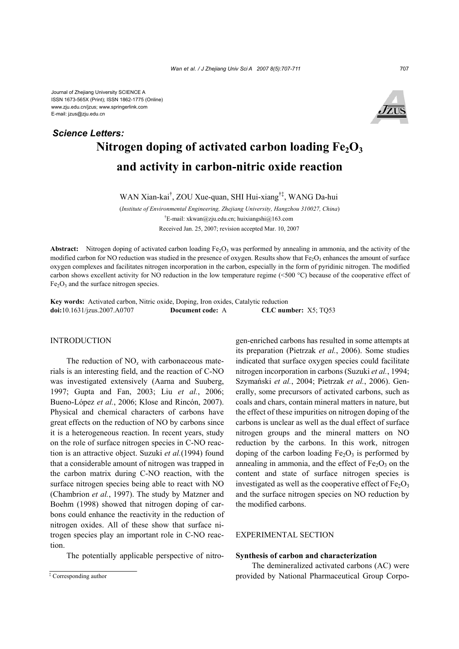# Nitrogen doping of activated carbon loading  $Fe<sub>2</sub>O<sub>3</sub>$ **and activity in carbon-nitric oxide reaction**  *Science Letters:*

WAN Xian-kai† , ZOU Xue-quan, SHI Hui-xiang†‡, WANG Da-hui

(*Institute of Environmental Engineering, Zhejiang University, Hangzhou 310027, China*) † E-mail: xkwan@zju.edu.cn; huixiangshi@163.com Received Jan. 25, 2007; revision accepted Mar. 10, 2007

**Abstract:** Nitrogen doping of activated carbon loading  $Fe<sub>2</sub>O<sub>3</sub>$  was performed by annealing in ammonia, and the activity of the modified carbon for NO reduction was studied in the presence of oxygen. Results show that  $Fe<sub>2</sub>O<sub>3</sub>$  enhances the amount of surface oxygen complexes and facilitates nitrogen incorporation in the carbon, especially in the form of pyridinic nitrogen. The modified carbon shows excellent activity for NO reduction in the low temperature regime (<500 °C) because of the cooperative effect of  $Fe<sub>2</sub>O<sub>3</sub>$  and the surface nitrogen species.

**Key words:** Activated carbon, Nitric oxide, Doping, Iron oxides, Catalytic reduction **doi:**10.1631/jzus.2007.A0707 **Document code:** A **CLC number:** X5; TQ53

### INTRODUCTION

The reduction of NO*x* with carbonaceous materials is an interesting field, and the reaction of C-NO was investigated extensively (Aarna and Suuberg, 1997; Gupta and Fan, 2003; Liu *et al.*, 2006; Bueno-López *et al.*, 2006; Klose and Rincón, 2007). Physical and chemical characters of carbons have great effects on the reduction of NO by carbons since it is a heterogeneous reaction. In recent years, study on the role of surface nitrogen species in C-NO reaction is an attractive object. Suzuki *et al.*(1994) found that a considerable amount of nitrogen was trapped in the carbon matrix during C-NO reaction, with the surface nitrogen species being able to react with NO (Chambrion *et al.*, 1997). The study by Matzner and Boehm (1998) showed that nitrogen doping of carbons could enhance the reactivity in the reduction of nitrogen oxides. All of these show that surface nitrogen species play an important role in C-NO reaction.

The potentially applicable perspective of nitro-

gen-enriched carbons has resulted in some attempts at its preparation (Pietrzak *et al.*, 2006). Some studies indicated that surface oxygen species could facilitate nitrogen incorporation in carbons (Suzuki *et al.*, 1994; Szymański *et al.*, 2004; Pietrzak *et al.*, 2006). Generally, some precursors of activated carbons, such as coals and chars, contain mineral matters in nature, but the effect of these impurities on nitrogen doping of the carbons is unclear as well as the dual effect of surface nitrogen groups and the mineral matters on NO reduction by the carbons. In this work, nitrogen doping of the carbon loading  $Fe<sub>2</sub>O<sub>3</sub>$  is performed by annealing in ammonia, and the effect of  $Fe<sub>2</sub>O<sub>3</sub>$  on the content and state of surface nitrogen species is investigated as well as the cooperative effect of  $Fe<sub>2</sub>O<sub>3</sub>$ and the surface nitrogen species on NO reduction by the modified carbons.

# EXPERIMENTAL SECTION

#### **Synthesis of carbon and characterization**

The demineralized activated carbons (AC) were provided by National Pharmaceutical Group Corpo-

<sup>‡</sup> Corresponding author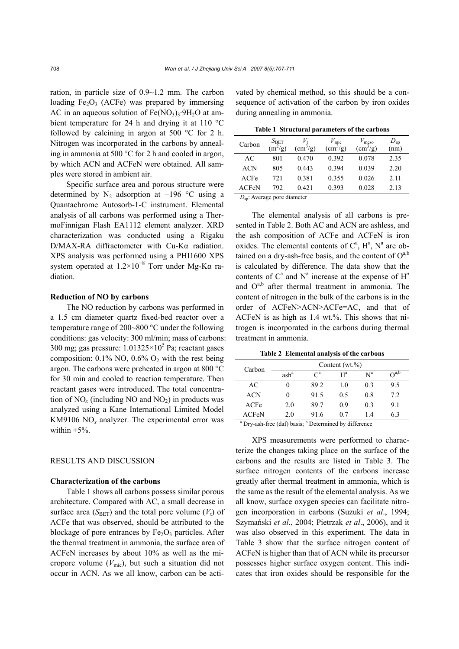ration, in particle size of 0.9~1.2 mm. The carbon loading  $Fe<sub>2</sub>O<sub>3</sub>$  (ACFe) was prepared by immersing AC in an aqueous solution of  $Fe(NO<sub>3</sub>)<sub>3</sub>·9H<sub>2</sub>O$  at ambient temperature for 24 h and drying it at 110 °C followed by calcining in argon at 500 °C for 2 h. Nitrogen was incorporated in the carbons by annealing in ammonia at 500 °C for 2 h and cooled in argon, by which ACN and ACFeN were obtained. All samples were stored in ambient air.

Specific surface area and porous structure were determined by  $N_2$  adsorption at −196 °C using a Quantachrome Autosorb-1-C instrument. Elemental analysis of all carbons was performed using a ThermoFinnigan Flash EA1112 element analyzer. XRD characterization was conducted using a Rigaku D/MAX-RA diffractometer with Cu-Kα radiation. XPS analysis was performed using a PHI1600 XPS system operated at  $1.2 \times 10^{-8}$  Torr under Mg-Ka radiation.

# **Reduction of NO by carbons**

The NO reduction by carbons was performed in a 1.5 cm diameter quartz fixed-bed reactor over a temperature range of 200~800 °C under the following conditions: gas velocity: 300 ml/min; mass of carbons: 300 mg; gas pressure:  $1.01325 \times 10^5$  Pa; reactant gases composition:  $0.1\%$  NO,  $0.6\%$  O<sub>2</sub> with the rest being argon. The carbons were preheated in argon at 800 °C for 30 min and cooled to reaction temperature. Then reactant gases were introduced. The total concentration of  $NO<sub>x</sub>$  (including NO and  $NO<sub>2</sub>$ ) in products was analyzed using a Kane International Limited Model KM9106  $NO<sub>x</sub>$  analyzer. The experimental error was within  $\pm 5\%$ .

#### RESULTS AND DISCUSSION

#### **Characterization of the carbons**

Table 1 shows all carbons possess similar porous architecture. Compared with AC, a small decrease in surface area ( $S_{\text{BET}}$ ) and the total pore volume ( $V_t$ ) of ACFe that was observed, should be attributed to the blockage of pore entrances by  $Fe<sub>2</sub>O<sub>3</sub>$  particles. After the thermal treatment in ammonia, the surface area of ACFeN increases by about 10% as well as the micropore volume  $(V_{\text{mic}})$ , but such a situation did not occur in ACN. As we all know, carbon can be activated by chemical method, so this should be a consequence of activation of the carbon by iron oxides during annealing in ammonia.

| Table 1 Structural parameters of the carbons |
|----------------------------------------------|
|----------------------------------------------|

| Carbon       | $S_{\rm BET}$<br>$(m^2/g)$ | $\text{(cm}^3\text{/g)}$ | $V_{\rm mic}$<br>$\left(\text{cm}^3/\text{g}\right)$ | $V_{\text{meso}}$<br>$\text{ (cm}^3\text{/g)}$ | $D_{ap}$<br>(nm) |
|--------------|----------------------------|--------------------------|------------------------------------------------------|------------------------------------------------|------------------|
| AC           | 801                        | 0.470                    | 0.392                                                | 0.078                                          | 2.35             |
| <b>ACN</b>   | 805                        | 0.443                    | 0.394                                                | 0.039                                          | 2.20             |
| ACFe         | 721                        | 0.381                    | 0.355                                                | 0.026                                          | 2.11             |
| <b>ACFeN</b> | 792                        | 0.421                    | 0.393                                                | 0.028                                          | 2.13             |
|              |                            |                          |                                                      |                                                |                  |

*D*ap: Average pore diameter

The elemental analysis of all carbons is presented in Table 2. Both AC and ACN are ashless, and the ash composition of ACFe and ACFeN is iron oxides. The elemental contents of  $C^a$ ,  $H^a$ ,  $N^a$  are obtained on a dry-ash-free basis, and the content of  $O^{a,b}$ is calculated by difference. The data show that the contents of  $C^a$  and  $N^a$  increase at the expense of  $H^a$ and  $O^{a,b}$  after thermal treatment in ammonia. The content of nitrogen in the bulk of the carbons is in the order of ACFeN>ACN>ACFe=AC, and that of ACFeN is as high as 1.4 wt.%. This shows that nitrogen is incorporated in the carbons during thermal treatment in ammonia.

**Table 2 Elemental analysis of the carbons** 

| Carbon     | Content $(wt.\%)$ |                 |       |                           |                |
|------------|-------------------|-----------------|-------|---------------------------|----------------|
|            | ash <sup>a</sup>  | $\mathcal{C}^a$ | $H^a$ | $\mathrm{N}^{\mathrm{a}}$ | $\Omega^{a,b}$ |
| AC         | 0                 | 89.2            | 1.0   | 03                        | 9.5            |
| <b>ACN</b> | 0                 | 91.5            | 0.5   | 0.8                       | 7.2            |
| ACFe       | 2.0               | 89.7            | 09    | 0 <sup>3</sup>            | 9.1            |
| ACFeN      | 2.0               | 91.6            | 0.7   | 14                        | 63             |

<sup>a</sup> Dry-ash-free (daf) basis; <sup>b</sup> Determined by difference

XPS measurements were performed to characterize the changes taking place on the surface of the carbons and the results are listed in Table 3. The surface nitrogen contents of the carbons increase greatly after thermal treatment in ammonia, which is the same as the result of the elemental analysis. As we all know, surface oxygen species can facilitate nitrogen incorporation in carbons (Suzuki *et al*., 1994; Szymański *et al*., 2004; Pietrzak *et al*., 2006), and it was also observed in this experiment. The data in Table 3 show that the surface nitrogen content of ACFeN is higher than that of ACN while its precursor possesses higher surface oxygen content. This indicates that iron oxides should be responsible for the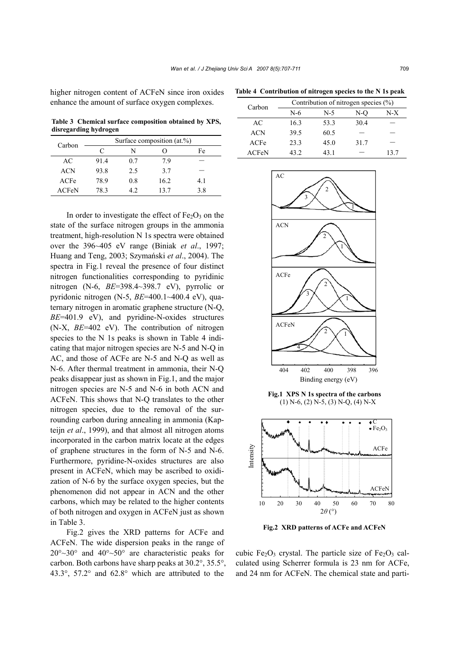higher nitrogen content of ACFeN since iron oxides enhance the amount of surface oxygen complexes.

**Table 3 Chemical surface composition obtained by XPS, disregarding hydrogen** 

| Carbon     | Surface composition (at.%) |     |      |     |
|------------|----------------------------|-----|------|-----|
|            | C                          | N   |      | Fe  |
| AC         | 91.4                       | 0.7 | 79   |     |
| <b>ACN</b> | 93.8                       | 2.5 | 37   |     |
| ACFe       | 78.9                       | 0.8 | 16.2 | 4.1 |
| ACFeN      | 78 3                       | 42  | 137  | 38  |

In order to investigate the effect of  $Fe<sub>2</sub>O<sub>3</sub>$  on the state of the surface nitrogen groups in the ammonia treatment, high-resolution N 1s spectra were obtained over the 396~405 eV range (Biniak *et al*., 1997; Huang and Teng, 2003; Szymański *et al*., 2004). The spectra in Fig.1 reveal the presence of four distinct nitrogen functionalities corresponding to pyridinic nitrogen (N-6, *BE*=398.4~398.7 eV), pyrrolic or pyridonic nitrogen (N-5, *BE*=400.1~400.4 eV), quaternary nitrogen in aromatic graphene structure (N-Q, *BE*=401.9 eV), and pyridine-N-oxides structures (N-X, *BE*=402 eV). The contribution of nitrogen species to the N 1s peaks is shown in Table 4 indicating that major nitrogen species are N-5 and N-Q in AC, and those of ACFe are N-5 and N-Q as well as N-6. After thermal treatment in ammonia, their N-Q peaks disappear just as shown in Fig.1, and the major nitrogen species are N-5 and N-6 in both ACN and ACFeN. This shows that N-Q translates to the other nitrogen species, due to the removal of the surrounding carbon during annealing in ammonia (Kapteijn *et al*., 1999), and that almost all nitrogen atoms incorporated in the carbon matrix locate at the edges of graphene structures in the form of N-5 and N-6. Furthermore, pyridine-N-oxides structures are also present in ACFeN, which may be ascribed to oxidization of N-6 by the surface oxygen species, but the phenomenon did not appear in ACN and the other carbons, which may be related to the higher contents of both nitrogen and oxygen in ACFeN just as shown in Table 3.

Fig.2 gives the XRD patterns for ACFe and ACFeN. The wide dispersion peaks in the range of 20°~30° and 40°~50° are characteristic peaks for carbon. Both carbons have sharp peaks at 30.2°, 35.5°, 43.3°, 57.2° and 62.8° which are attributed to the

**Table 4 Contribution of nitrogen species to the N 1s peak** 

| Carbon | Contribution of nitrogen species $(\% )$ |       |      |      |
|--------|------------------------------------------|-------|------|------|
|        | N-6                                      | $N-5$ | N-O  | N-X  |
| AC     | 16.3                                     | 53.3  | 30.4 |      |
| ACN    | 39.5                                     | 60.5  |      |      |
| ACFe   | 23.3                                     | 45.0  | 31.7 |      |
| ACFeN  | 43.2                                     | 43.1  |      | 13 7 |



**Fig.1 XPS N 1s spectra of the carbons**  (1) N-6, (2) N-5, (3) N-Q, (4) N-X



**Fig.2 XRD patterns of ACFe and ACFeN**

cubic Fe<sub>2</sub>O<sub>3</sub> crystal. The particle size of Fe<sub>2</sub>O<sub>3</sub> calculated using Scherrer formula is 23 nm for ACFe, and 24 nm for ACFeN. The chemical state and parti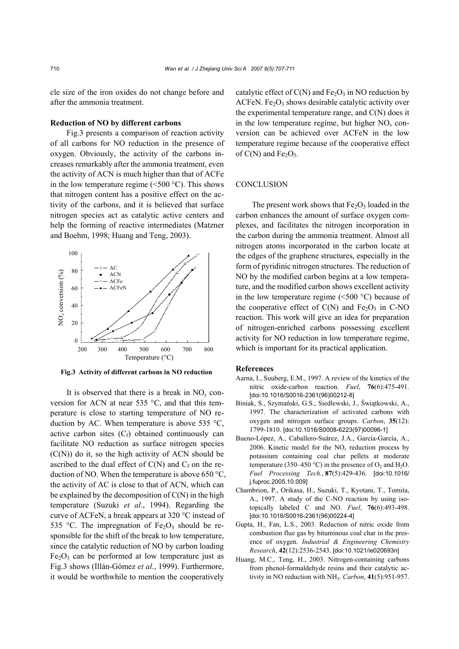cle size of the iron oxides do not change before and after the ammonia treatment.

# **Reduction of NO by different carbons**

Fig.3 presents a comparison of reaction activity of all carbons for NO reduction in the presence of oxygen. Obviously, the activity of the carbons increases remarkably after the ammonia treatment, even the activity of ACN is much higher than that of ACFe in the low temperature regime  $(<500 \degree C)$ . This shows that nitrogen content has a positive effect on the activity of the carbons, and it is believed that surface nitrogen species act as catalytic active centers and help the forming of reactive intermediates (Matzner and Boehm, 1998; Huang and Teng, 2003).



**Fig.3 Activity of different carbons in NO reduction**

It is observed that there is a break in NO*x* conversion for ACN at near 535 °C, and that this temperature is close to starting temperature of NO reduction by AC. When temperature is above 535 °C, active carbon sites  $(C_f)$  obtained continuously can facilitate NO reduction as surface nitrogen species (C(N)) do it, so the high activity of ACN should be ascribed to the dual effect of  $C(N)$  and  $C_f$  on the reduction of NO. When the temperature is above 650  $\textdegree$ C, the activity of AC is close to that of ACN, which can be explained by the decomposition of  $C(N)$  in the high temperature (Suzuki *et al*., 1994). Regarding the curve of ACFeN, a break appears at 320 °C instead of 535 °C. The impregnation of  $Fe<sub>2</sub>O<sub>3</sub>$  should be responsible for the shift of the break to low temperature, since the catalytic reduction of NO by carbon loading  $Fe<sub>2</sub>O<sub>3</sub>$  can be performed at low temperature just as Fig.3 shows (Illán-Gómez *et al*., 1999). Furthermore, it would be worthwhile to mention the cooperatively

catalytic effect of  $C(N)$  and  $Fe<sub>2</sub>O<sub>3</sub>$  in NO reduction by ACFeN. Fe<sub>2</sub>O<sub>3</sub> shows desirable catalytic activity over the experimental temperature range, and C(N) does it in the low temperature regime, but higher NO*x* conversion can be achieved over ACFeN in the low temperature regime because of the cooperative effect of  $C(N)$  and  $Fe<sub>2</sub>O<sub>3</sub>$ .

# **CONCLUSION**

The present work shows that  $Fe<sub>2</sub>O<sub>3</sub>$  loaded in the carbon enhances the amount of surface oxygen complexes, and facilitates the nitrogen incorporation in the carbon during the ammonia treatment. Almost all nitrogen atoms incorporated in the carbon locate at the edges of the graphene structures, especially in the form of pyridinic nitrogen structures. The reduction of NO by the modified carbon begins at a low temperature, and the modified carbon shows excellent activity in the low temperature regime  $(\leq 500 \degree C)$  because of the cooperative effect of  $C(N)$  and  $Fe<sub>2</sub>O<sub>3</sub>$  in C-NO reaction. This work will give an idea for preparation of nitrogen-enriched carbons possessing excellent activity for NO reduction in low temperature regime, which is important for its practical application.

#### **References**

- Aarna, I., Suuberg, E.M., 1997. A review of the kinetics of the nitric oxide-carbon reaction. *Fuel*, **76**(6):475-491. [doi:10.1016/S0016-2361(96)00212-8]
- Biniak, S., Szymański, G.S., Siedlewski, J., Świątkowski, A., 1997. The characterization of activated carbons with oxygen and nitrogen surface groups. *Carbon*, **35**(12): 1799-1810. [doi:10.1016/S0008-6223(97)00096-1]
- Bueno-López, A., Caballero-Suárez, J.A., García-García, A., 2006. Kinetic model for the  $NO<sub>x</sub>$  reduction process by potassium containing coal char pellets at moderate temperature (350–450 °C) in the presence of  $O_2$  and  $H_2O$ . *Fuel Processing Tech.*, **87**(5):429-436. [doi:10.1016/ j.fuproc.2005.10.009]
- Chambrion, P., Orikasa, H., Suzuki, T., Kyotani, T., Tomita, A., 1997. A study of the C-NO reaction by using isotopically labeled C and NO. *Fuel*, **76**(6):493-498. [doi:10.1016/S0016-2361(96)00224-4]
- Gupta, H., Fan, L.S., 2003. Reduction of nitric oxide from combustion flue gas by bituminous coal char in the presence of oxygen. *Industrial & Engineering Chemistry Research*, **42**(12):2536-2543. [doi:10.1021/ie020693n]
- Huang, M.C., Teng, H., 2003. Nitrogen-containing carbons from phenol-formaldehyde resins and their catalytic activity in NO reduction with NH3. *Carbon*, **41**(5):951-957.